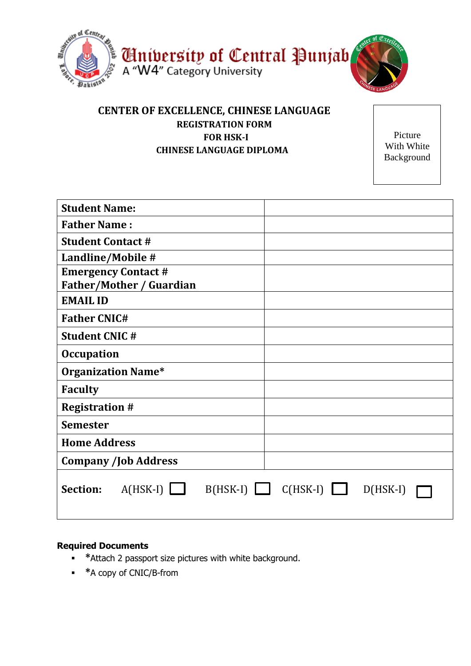

## **CENTER OF EXCELLENCE, CHINESE LANGUAGE REGISTRATION FORM FOR HSK-I CHINESE LANGUAGE DIPLOMA**

Picture With White Background

| <b>Student Name:</b>            |                                            |
|---------------------------------|--------------------------------------------|
| <b>Father Name:</b>             |                                            |
| <b>Student Contact #</b>        |                                            |
| Landline/Mobile #               |                                            |
| <b>Emergency Contact #</b>      |                                            |
| <b>Father/Mother / Guardian</b> |                                            |
| <b>EMAIL ID</b>                 |                                            |
| <b>Father CNIC#</b>             |                                            |
| <b>Student CNIC#</b>            |                                            |
| <b>Occupation</b>               |                                            |
| <b>Organization Name*</b>       |                                            |
| <b>Faculty</b>                  |                                            |
| <b>Registration #</b>           |                                            |
| <b>Semester</b>                 |                                            |
| <b>Home Address</b>             |                                            |
| <b>Company /Job Address</b>     |                                            |
| $A(HSK-I)$<br><b>Section:</b>   | $B(HSK-I)$ $C(HSK-I)$ $\Box$<br>$D(HSK-I)$ |

## **Required Documents**

- **\***Attach 2 passport size pictures with white background.
- **\***A copy of CNIC/B-from